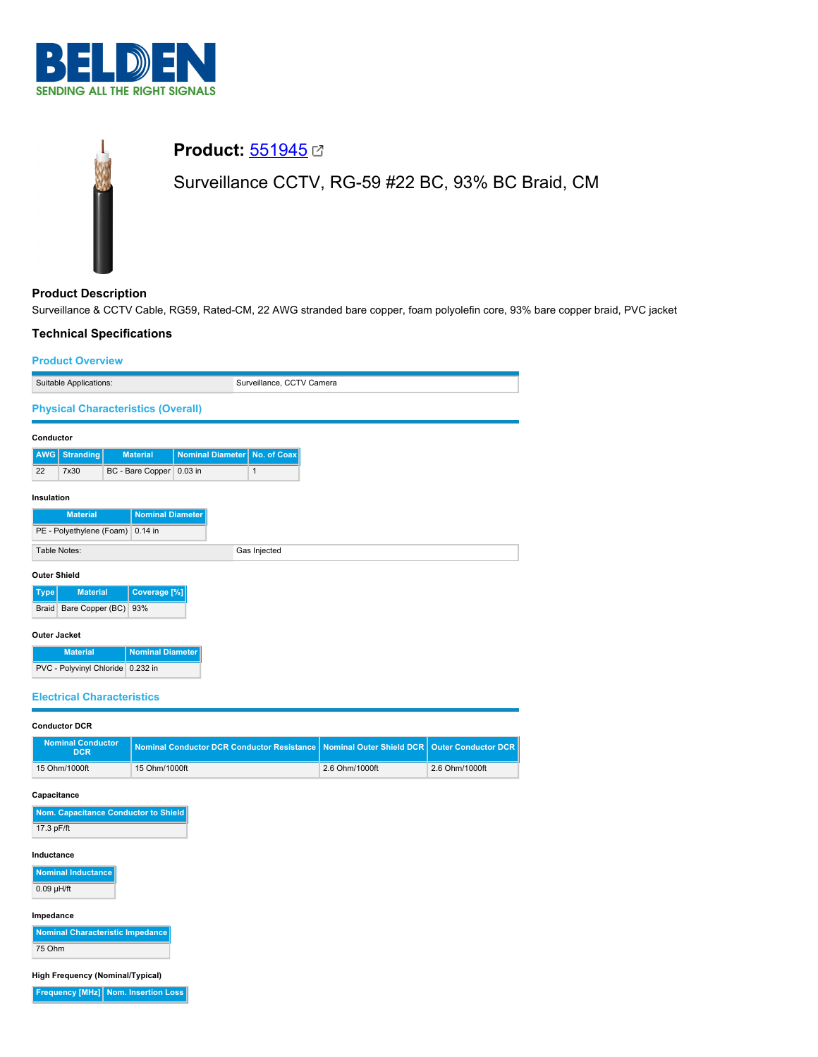

# **Product:** [551945](https://catalog.belden.com/index.cfm?event=pd&p=PF_551945&tab=downloads) **Ø** Surveillance CCTV, RG-59 #22 BC, 93% BC Braid, CM

## **Product Description**

Surveillance & CCTV Cable, RG59, Rated-CM, 22 AWG stranded bare copper, foam polyolefin core, 93% bare copper braid, PVC jacket

-

#### **Technical Specifications**

| <b>Product Overview</b>           |                                           |  |                          |  |                           |              |  |  |  |  |
|-----------------------------------|-------------------------------------------|--|--------------------------|--|---------------------------|--------------|--|--|--|--|
| Suitable Applications:            |                                           |  |                          |  | Surveillance, CCTV Camera |              |  |  |  |  |
|                                   | <b>Physical Characteristics (Overall)</b> |  |                          |  |                           |              |  |  |  |  |
| Conductor                         |                                           |  |                          |  |                           |              |  |  |  |  |
| <b>AWG</b>                        | <b>Stranding</b>                          |  | <b>Material</b>          |  | <b>Nominal Diameter</b>   | No. of Coax  |  |  |  |  |
| 22                                | 7x30                                      |  | BC - Bare Copper 0.03 in |  |                           | $\mathbf{1}$ |  |  |  |  |
| Insulation                        |                                           |  |                          |  |                           |              |  |  |  |  |
|                                   | <b>Material</b>                           |  | <b>Nominal Diameter</b>  |  |                           |              |  |  |  |  |
|                                   | PE - Polyethylene (Foam)                  |  | $0.14$ in                |  |                           |              |  |  |  |  |
|                                   | Table Notes:                              |  |                          |  |                           | Gas Injected |  |  |  |  |
| <b>Outer Shield</b>               |                                           |  |                          |  |                           |              |  |  |  |  |
| <b>Type</b>                       | <b>Material</b>                           |  | Coverage <sup>[%]</sup>  |  |                           |              |  |  |  |  |
| <b>Braid</b>                      | Bare Copper (BC)                          |  | 93%                      |  |                           |              |  |  |  |  |
| <b>Outer Jacket</b>               |                                           |  |                          |  |                           |              |  |  |  |  |
|                                   | <b>Material</b>                           |  | <b>Nominal Diameter</b>  |  |                           |              |  |  |  |  |
| PVC - Polyvinyl Chloride 0.232 in |                                           |  |                          |  |                           |              |  |  |  |  |
|                                   | <b>Electrical Characteristics</b>         |  |                          |  |                           |              |  |  |  |  |

# **Conductor DCR Nominal Conductor Nominal Conductor DCR Conductor Resistance Nominal Outer Shield DCR** Outer Conductor DCR 15 Ohm/1000ft 15 Ohm/1000ft 2.6 Ohm/1000ft 2.6 Ohm/1000ft

#### **Capacitance**

| Nom. Capacitance Conductor to Shield |
|--------------------------------------|
| 17.3 pF/ft                           |

#### **Inductance**

**Nominal Inducta** 0.09 µH/ft

#### **Impedance**

**Nominal Characteristic Impedance** 75 Ohm

**High Frequency (Nominal/Typical)**

**Frequency [MHz] Nom. Insertion Loss**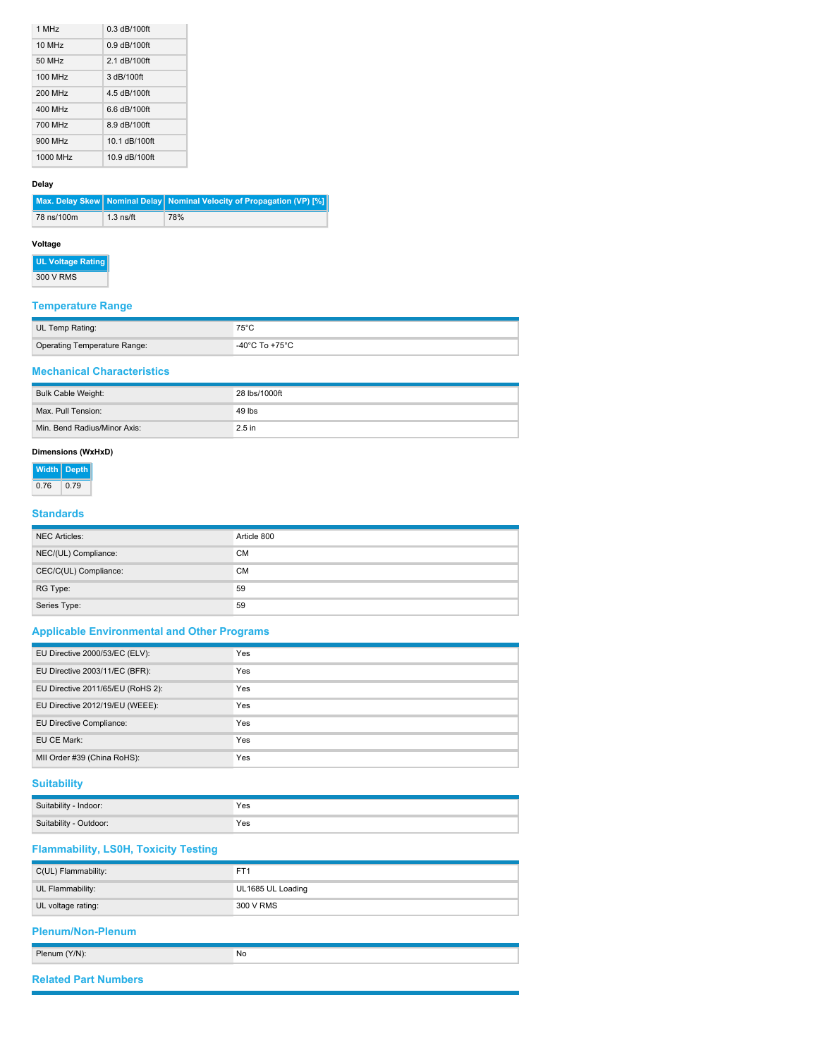| 1 MHz              | $0.3$ dB/100ft |
|--------------------|----------------|
| 10 MH <sub>z</sub> | $0.9$ dB/100ft |
| 50 MHz             | 2.1 dB/100ft   |
| 100 MHz            | 3 dB/100ft     |
| 200 MHz            | 4.5 dB/100ft   |
| 400 MHz            | 6.6 dB/100ft   |
| 700 MHz            | 8.9 dB/100ft   |
| 900 MHz            | 10.1 dB/100ft  |
| 1000 MHz           | 10.9 dB/100ft  |

#### **Delay**

|            |             | Max. Delay Skew   Nominal Delay   Nominal Velocity of Propagation (VP) [%] |
|------------|-------------|----------------------------------------------------------------------------|
| 78 ns/100m | $1.3$ ns/ft | 78%                                                                        |

#### **Voltage**

**UL Voltage Rating** 300 V RMS

## **Temperature Range**

| UL Temp Rating:                     | 75°C           |
|-------------------------------------|----------------|
| <b>Operating Temperature Range:</b> | -40°C To +75°C |

### **Mechanical Characteristics**

| Bulk Cable Weight:           | 28 lbs/1000ft |
|------------------------------|---------------|
| Max. Pull Tension:           | 49 lbs        |
| Min. Bend Radius/Minor Axis: | $2.5$ in      |

#### **Dimensions (WxHxD)**

| Width | <b>Depth</b> |
|-------|--------------|
| 0.76  | 0.79         |

#### **Standards**

| <b>NEC Articles:</b>  | Article 800 |
|-----------------------|-------------|
| NEC/(UL) Compliance:  | <b>CM</b>   |
| CEC/C(UL) Compliance: | <b>CM</b>   |
| RG Type:              | 59          |
| Series Type:          | 59          |

## **Applicable Environmental and Other Programs**

| EU Directive 2000/53/EC (ELV):    | Yes        |
|-----------------------------------|------------|
| EU Directive 2003/11/EC (BFR):    | <b>Yes</b> |
| EU Directive 2011/65/EU (RoHS 2): | Yes        |
| EU Directive 2012/19/EU (WEEE):   | Yes        |
| EU Directive Compliance:          | Yes        |
| EU CE Mark:                       | Yes        |
| MII Order #39 (China RoHS):       | Yes        |

## **Suitability**

| Suitability<br>Indoor: | Yes |
|------------------------|-----|
| Suitability - Outdoor: | Yes |

## **Flammability, LS0H, Toxicity Testing**

| C(UL) Flammability:                       | FT <sub>1</sub>   |  |  |  |  |  |
|-------------------------------------------|-------------------|--|--|--|--|--|
| UL Flammability:                          | UL1685 UL Loading |  |  |  |  |  |
| UL voltage rating:                        | 300 V RMS         |  |  |  |  |  |
|                                           |                   |  |  |  |  |  |
|                                           |                   |  |  |  |  |  |
| <b>Plenum/Non-Plenum</b><br>Plenum (Y/N): | No                |  |  |  |  |  |